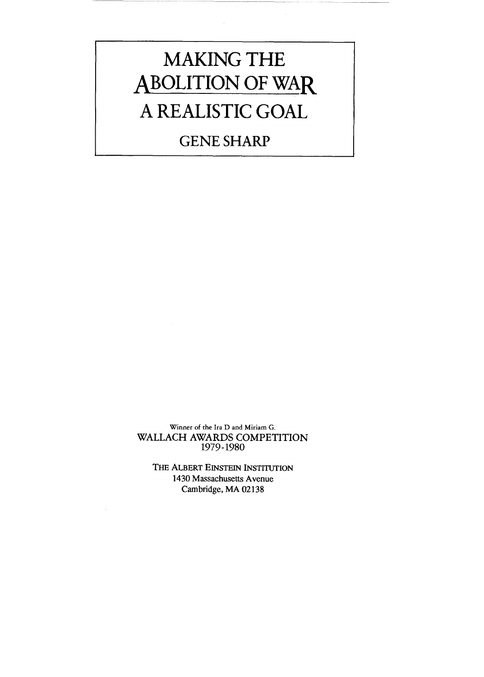# **MAKING THE ABOLITION OF WAR A REALISTIC GOAL**  GENE **SHARP**

**Winner of the Ira D and Miriam** *G.*  **WALLACH AWARDS COMPETITION**  1979- 1980

THE **ALBERT EINSTEIN INSTITUTION 1430 Massachusetts Avenue Cambridge, MA 02138**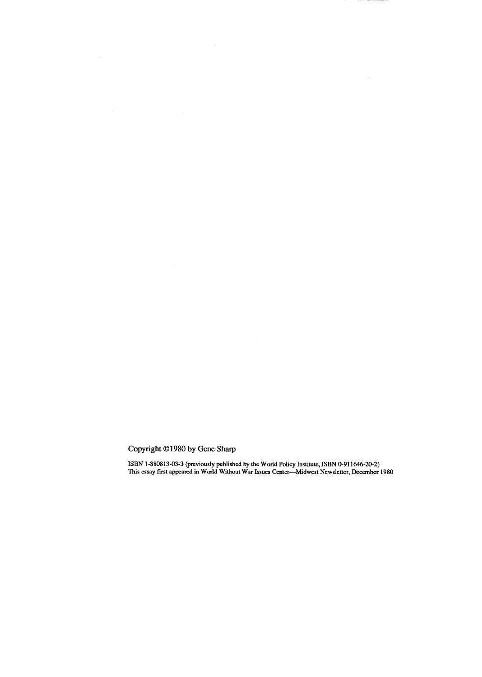**Copyright 01980 by Gene Sharp** 

**ISBN 1-880813-03-3 (previously published by the World Policy Institute, ISBN 0-91 1646-20-2) This essay first appeared in World Without War Issues Center-Midwest Newsletter. December 1980**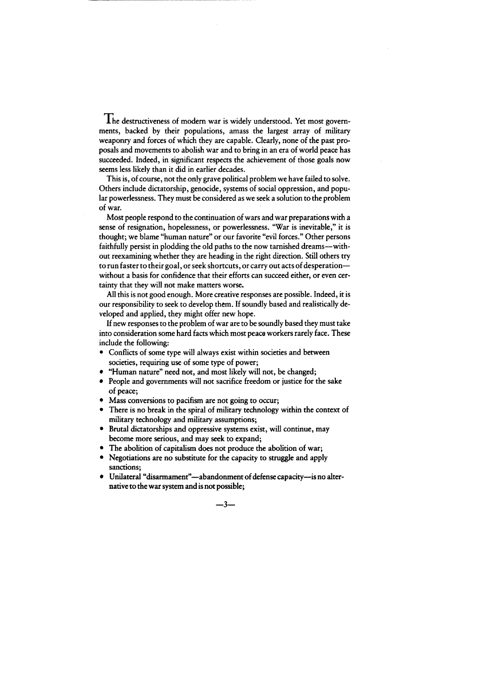The destructiveness of modern war is widely understood. Yet most governments, backed by their populations, amass the largest array of military weaponry and forces of which they are capable. Clearly, none of the past proposals and movements to abolish war and to bring in an era of world peace has succeeded. Indeed, in significant respects the achievement of those goals now seems less likely than it did in earlier decades.

This is, of course, not the only grave political problem we have failed to solve. Others include dictatorship, genocide, systems of social oppression, and popular powerlessness. They must be considered as we seek a solution to the problem of war.

Most people respond to the continuation of wars and war preparations with a sense of resignation, hopelessness, or powerlessness. "War is inevitable," it is thought; we blame "human nature" or our favorite "evil forces." Other persons faithfully persist in plodding the old paths to the now tarnished dreams-without reexamining whether they are heading in the right direction. Still others try to run faster to their goal, or seek shortcuts, or carry out acts of desperationwithout a basis for confidence that their efforts can succeed either, or even certainty that they will not make matters worse.

All this is not good enough. More creative responses are possible. Indeed, it is our responsibility to seek to develop them. If soundly based and realistically developed and applied, they might offer new hope.

If new responses to the problem of war are to be soundly based they must take into consideration some hard facts which most peace workers rarely face. These include the following:

- Conflicts of some type will always exist within societies and between societies, requiring use of some type of power;
- "Human nature" need not, and most likely will not, be changed;
- People and governments will not sacrifice freedom or justice for the sake of peace;
- Mass conversions to pacifism are not going to occur;
- There is no break in the spiral of military technology within the context of military technology and military assumptions;
- Brutal dictatorships and oppressive systems exist, will continue, may become more serious, and may seek to expand;
- The abolition of capitalism does not produce the abolition of war;
- Negotiations are no substitute for the capacity to struggle and apply sanctions;
- Unilateral "disarmament"-abandonment of defense capacity-is no alternative to the war system and is not possible;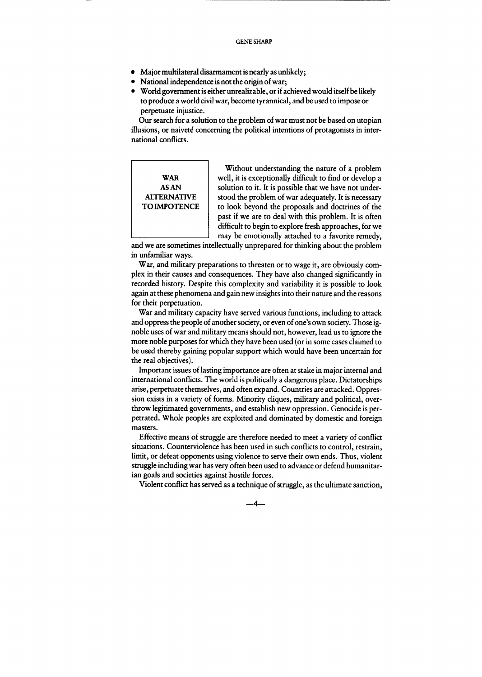- Major multilateral disarmament is nearly as unlikely;
- National independence is not the origin of war:
- World government is either unrealizable, or if achieved would itself be likely to produce a world civil war, become tyrannical, and be used to impose or perpetuate injustice.

**Our** search for a solution to the problem of war must not be based on utopian illusions, or naivete concerning the political intentions of protagonists in international conflicts.

**WAR AS AN ALTERNATIVE TO IMPOTENCE** 

Without understanding the nature of a problem well, it is exceptionally difficult to find or develop a solution to it. It is possible that we have not understood the problem of war adequately. It is necessary to look beyond the proposals and doctrines of the past if we are to deal with this problem. It is often difficult to begin to explore fresh approaches, for we may be emotionally attached to a favorite remedy,

and we are sometimes intellectually unprepared for thinking about the problem in unfamiliar ways.

War, and military preparations to threaten or to wage it, are obviously complex in their causes and consequences. They have also changed significantly in recorded history. Despite this complexity and variability it is possible to look again at these phenomena and gain new insights into their nature and the reasons for their perpetuation.

War and military capacity have served various functions, including to attack and oppress the people of another society, or even of one's own society. Those ignoble uses of war and military means should not, however, lead us to ignore the more noble purposes for which they have been used (or in some cases claimed to be used thereby gaining popular support which would have been uncertain for the real objectives).

Important issues of lasting importance are often at stake in major internal and international conflicts. The world is politically a dangerous place. Dictatorships arise, perpetuate themselves, and often expand. Countries are attacked. Oppression exists in a variety of forms. Minority cliques, military and political, overthrow legitimated governments, and establish new oppression. Genocide is perpetrated. Whole peoples are exploited and dominated by domestic and foreign masters.

Effective means of struggle are therefore needed to meet a variety of conflict situations. Counterviolence has been used in such conflicts to control, restrain, limit, or defeat opponents using violence to serve their own ends. Thus, violent struggle including war has very often been used to advance or defend humanitarian goals and societies against hostile forces.

Violent conflict has served as a technique of struggle, as the ultimate sanction,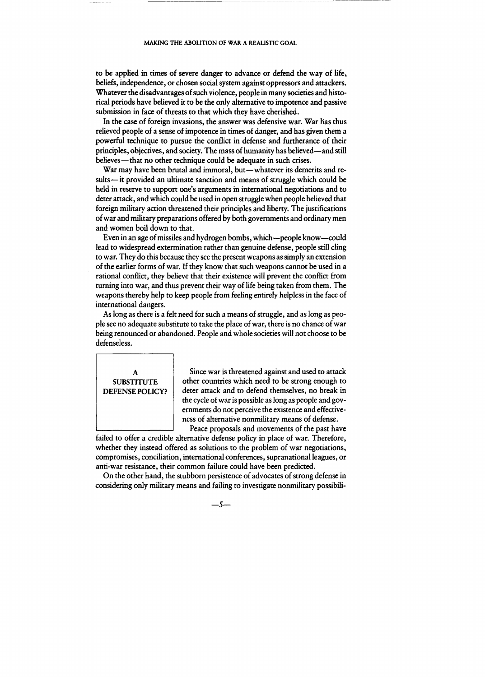to be applied in times of severe danger to advance or defend the way of life, beliefs, independence, or chosen social system against oppressors and attackers. Whatever the disadvantages of such violence, people in many societies and historical periods have believed it to be the only alternative to impotence and passive submission in face of threats to that which they have cherished.

In the case of foreign invasions, the answer was defensive war. War has thus relieved people of a sense of impotence in times of danger, and has given them a powerful technique to pursue the conflict in defense and furtherance of their principles, objectives, and society. The mass of humanity has believed-and still believes-that no other technique could be adequate in such crises.

War may have been brutal and immoral, but-whatever its demerits and results - it provided an ultimate sanction and means of struggle which could be held in reserve to support one's arguments in international negotiations and to deter attack, and which could be used in open struggle when people believed that foreign military action threatened their principles and liberty. The justifications of war and military preparations offered by both governments and ordinary men and women boil down to that.

Even in an age of missiles and hydrogen bombs, which-people know-could lead to widespread extermination rather than genuine defense, people still cling to war. They do this because they see the present weapons as simply an extension of the earlier forms of war. If they know that such weapons cannot be used in a rational conflict, they believe that their existence will prevent the conflict from turning into war, and thus prevent their way of life being taken from them. The weapons thereby help to keep people from feeling entirely helpless in the face of international dangers.

As long as there is a felt need for such a means of struggle, and as long as people see no adequate substitute to take the place of war, there is no chance of war being renounced or abandoned. People and whole societies will not choose to be defenseless.



Since war is threatened against and used to attack **SUBSTITUTE** other countries which need to be strong enough to defense policy deter attack and to defend themselves, no break in weapons thereby help to keep people from feeling entirely helpless in the face of international dangers.<br>
As long as there is a felt need for such a means of struggle, and as long as people see no adequate substitute to ta ernments do not perceive the existence and effectiveness of alternative nonmilitary means of defense.

Peace proposals and movements of the past have

failed to offer a credible alternative defense policy in place of war. Therefore, whether they instead offered as solutions to the problem of war negotiations, compromises, conciliation, international conferences, supranational leagues, or anti-war resistance, their common failure could have been predicted.

On the other hand, the stubborn persistence of advocates of strong defense in considering only military means and failing to investigate nonmilitary possibili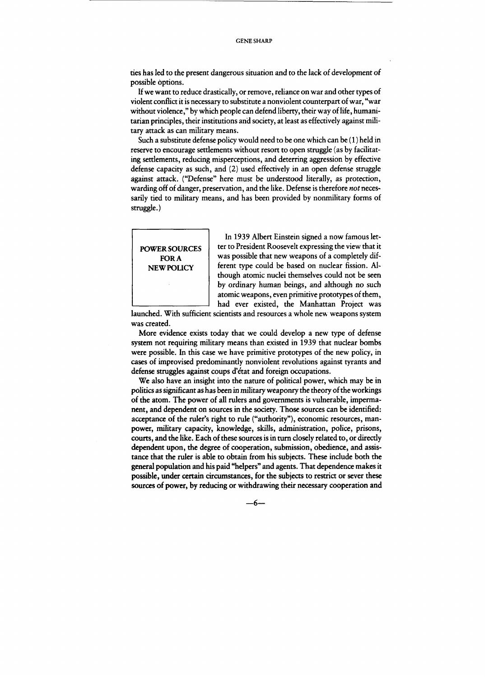ties has led to the present dangerous situation and to the lack of development of possible options.

If we want to reduce drastically, or remove, reliance on war and other types of violent conflict it is necessary to substitute a nonviolent counterpart of war, "war without violence," by which people can defend liberty, their way of life, humanitarian principles, their institutions and society, at least as effectively against military attack as can military means.

Such a substitute defense policy would need to be one which can be (1) held in reserve to encourage settlements without resort to open struggle (as by facilitating settlements, reducing misperceptions, and deterring aggression by effective defense capacity as such, and (2) used effectively in an open defense struggle against attack. ("Defense" here must be understood literally, as protection, warding off of danger, preservation, and the like. Defense is therefore not necessarily tied to military means, and has been provided by nonmilitary forms of struggle.) was possible that new weapons of a complete that in sectements, reducing magnity and deferring agents and the defectively in an open defense struggle<br>against attack. ("Defense" here must be understood literally, as protect

In 1939 Albert Einstein signed a now famous let-**POWER SOURCES** ter to President Roosevelt expressing the view that it<br>was possible that new weapons of a completely difthough atomic nuclei themselves could not be seen by ordinary human beings, and although no such atomic weapons, even primitive prototypes of them, had ever existed, the Manhattan Project was

launched. With sufficient scientists and resources a whole new weapons system was created.

More evidence exists today that we could develop a new type of defense system not requiring military means than existed in 1939 that nuclear bombs were possible. In this case we have primitive prototypes of the new policy, in cases of improvised predominantly nonviolent revolutions against tyrants and defense struggles against coups d'état and foreign occupations.

We also have an insight into the nature of political power, which may be in politics as significant as has been in military weaponry the theory of the workings of the atom. The power of all rulers and governments is vulnerable, impermanent, and dependent on sources in the society. Those sources can be identified: acceptance of the ruler's right to rule ("authority"), economic resources, manpower, military capacity, knowledge, skills, administration, police, prisons, courts, and the like. Each of these sources is in turn closely related to, or directly dependent upon, the degree of cooperation, submission, obedience, and assistance that the ruler is able to obtain from his subjects. These include both the general population and his paid "helpers" and agents. That dependence makes it possible, under certain circumstances, for the subjects to restrict or sever these sources of power, by reducing or withdrawing their necessary cooperation and

.ፋ-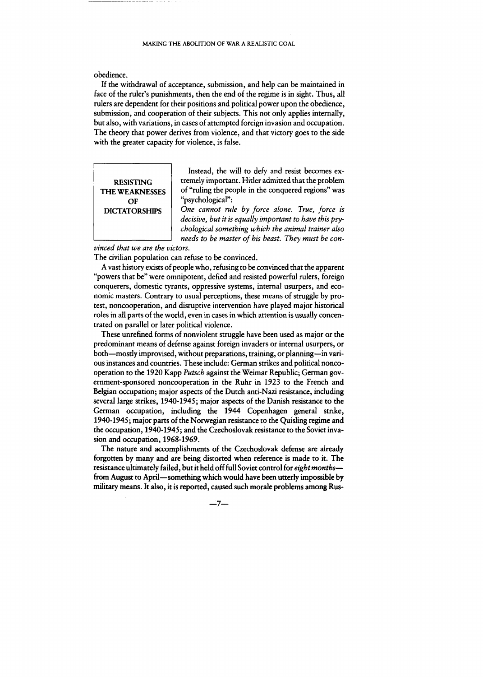obedience.

If the withdrawal of acceptance, submission, and help can be maintained in face of the ruler's punishments, then the end of the regime is in sight. Thus, all rulers are dependent for their positions and political power upon the obedience, submission, and cooperation of their subjects. This not only applies internally, but also, with variations, in cases of attempted foreign invasion and occupation. The theory that power derives from violence, and that victory goes to the side with the greater capacity for violence, is false.

**RESISTING THE WEAKNESSES OF DICTATORSHIPS** 

Instead, the will to defy and resist becomes extremely important. Hitler admitted that the problem of "ruling the people in the conquered regions" was "psychological":

*One cannot rule by force alone. True, force is decisive, but it is equally important to have this psychological something which the animal trainer also needs to be master of his beast. They must be con-*

*vinced that we are the victors.* 

The civilian population can refuse to be convinced.

A vast history exists of people who, refusing to be convinced that the apparent "powers that be" were omnipotent, defied and resisted powerful rulers, foreign conquerers, domestic tyrants, oppressive systems, internal usurpers, and economic masters. Contrary to usual perceptions, these means of struggle by protest, noncooperation, and disruptive intervention have played major historical roles in all parts of the world, even in cases in which attention is usually concentrated on parallel or later political violence.

These unrefined forms of nonviolent struggle have been used as major or the predominant means of defense against foreign invaders or internal usurpers, or both-mostly improvised, without preparations, training, or planning-in various instances and countries. These include: German strikes and political noncooperation to the 1920 Kapp *Putsch* against the Weimar Republic; German government-sponsored noncooperation in the Ruhr in 1923 to the French and Belgian occupation; major aspects of the Dutch anti-Nazi resistance, including several large strikes, 1940-1945; major aspects of the Danish resistance to the German occupation, including the 1944 Copenhagen general strike, 1940-1945; major parts of the Norwegian resistance to the Quisling regime and the occupation, 1940-1945; and the Czechoslovak resistance to the Soviet invasion and occupation, 1968-1969.

The nature and accomplishments of the Czechoslovak defense are already forgotten by many and are being distorted when reference is made to it. The resistance ultimately failed, but it held off full Soviet control for *eightmonths*from August to April-something which would have been utterly impossible by military means. It also, it is reported, caused such morale problems among Rus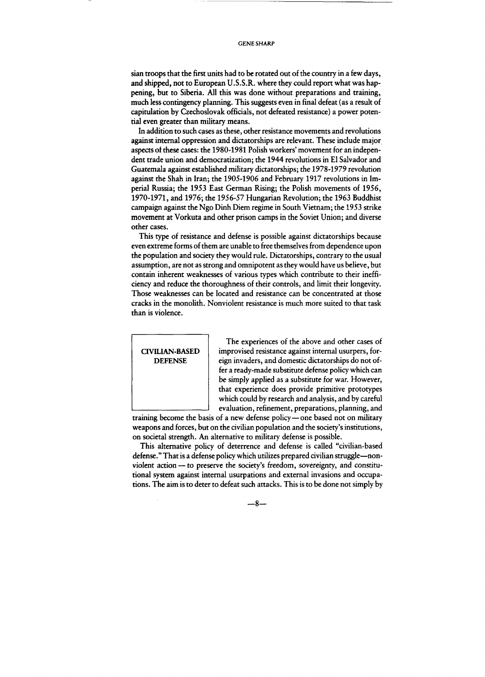sian troops that the first units had to be rotated out of the country in a few days, and shipped, not to European U.S.S.R. where they could report what was happening, but to Siberia. All this was done without preparations and training, much less contingency planning. This suggests even in final defeat (as a result of capitulation by Czechoslovak officials, not defeated resistance) a power potential even greater than military means.

In addition to such cases as these, other resistance movements and revolutions against internal oppression and dictatorships are relevant. These include major aspects of these cases: the 1980-1981 Polish workers' movement for an independent trade union and democratization; the 1944 revolutions in El Salvador and Guatemala against established military dictatorships; the 1978-1979 revolution against the Shah in Iran; the 1905-1906 and February 1917 revolutions in Imperial Russia; the 1953 East German Rising; the Polish movements of 1956, 1970-1971, and 1976; the 1956-57 Hungarian Revolution; the 1963 Buddhist campaign against the Ngo Dinh Diem regime in South Vietnam; the 1953 strike movement at Vorkuta and other prison camps in the Soviet Union; and diverse other cases.

This type of resistance and defense is possible against dictatorships because even extreme forms of them are unable to free themselves from dependence upon the population and society they would rule. Dictatorships, contrary to the usual assumption, are not as strong and omnipotent as they would have us believe, but contain inherent weaknesses of various types which contribute to their inefficiency and reduce the thoroughness of their controls, and limit their longevity. Those weaknesses can be located and resistance can be concentrated at those cracks in the monolith. Nonviolent resistance is much more suited to that task than is violence.

The experiences of the above and other cases of **CIVILIAN-BASED** improvised resistance against internal usurpers, for-**DEFENSE** Ll eign invaders, and domestic dictatorships do not offer a ready-made substitute defense policy which can be simply applied as a substitute for war. However, that experience does provide primitive prototypes which could by research and analysis, and by careful evaluation, refinement, preparations, planning, and

training become the basis of a new defense policy — one based not on military weapons and forces, but on the civilian population and the society's institutions, on societal strength. An alternative to military defense is possible.

This alternative policy of deterrence and defense is called "civilian-based I has alternative policy of deterrence and defense is called civilian-based<br>defense." That is a defense policy which utilizes prepared civilian struggle—non-<br>violent action — to preserve the society's freedom, sovereignty, tional system against internal usurpations and external invasions and occupations. The aim is to deter to defeat such attacks. This is to be done not simply by

 $-8-$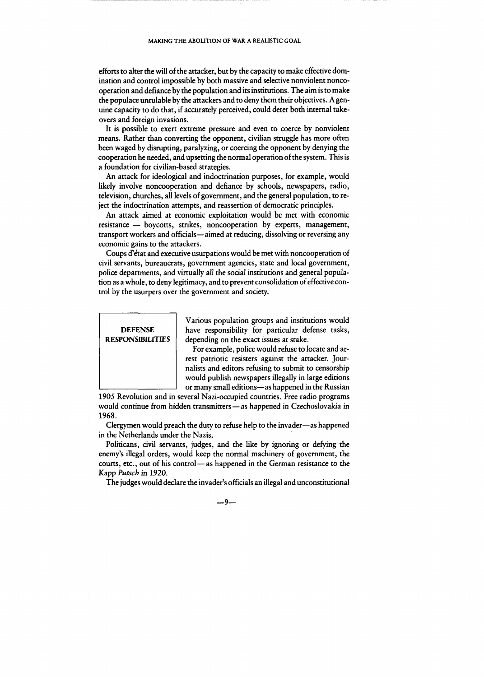efforts to alter the will of the attacker, but by the capacity to make effective domination and control impossible by both massive and selective nonviolent noncooperation and defiance by the population and its institutions. The aim is to make the populace unrulable by the attackers and to deny them their objectives. A genuine capacity to do that, if accurately perceived, could deter both internal takeovers and foreign invasions.

It is possible to exert extreme pressure and even to coerce by nonviolent means. Rather than converting the opponent, civilian struggle has more often been waged by disrupting, paralyzing, or coercing the opponent by denying the cooperation he needed, and upsetting the normal operation of the system. This is a foundation for civilian-based strategies.

An attack for ideological and indoctrination purposes, for example, would likely involve noncooperation and defiance by schools, newspapers, radio, television, churches, all levels of government, and the general population, to reject the indoctrination attempts, and reassertion of democratic principles.

An attack aimed at economic exploitation would be met with economic resistance - boycotts, strikes, noncooperation by experts, management, transport workers and officials-aimed at reducing, dissolving or reversing any economic gains to the attackers.

Coups d'état and executive usurpations would be met with noncooperation of civil servants, bureaucrats, government agencies, state and local government, police departments, and virtually all the social institutions and general population as a whole, to deny legitimacy, and to prevent consolidation of effective control by the usurpers over the government and society.

#### **DEFENSE RESPONSIBILITIES**

Various population groups and institutions would have responsibility for particular defense tasks, depending on the exact issues at stake.

For example, police would refuse to locate and arrest patriotic resisters against the attacker. Journalists and editors refusing to submit to censorship would publish newspapers illegally in large editions or many small editions-as happened in the Russian

1905 Revolution and in several Nazi-occupied countries. Free radio programs<br>would continue from hidden transmitters — as happened in Czechoslovakia in 1968.

Clergymen would preach the duty to refuse help to the invader-as happened in the Netherlands under the Nazis.

Politicans, civil servants, judges, and the like by ignoring or defying the enemy's illegal orders, would keep the normal machinery of government, the courts, etc., out of his control — as happened in the German resistance to the Kapp Putsch in 1920.

The judges would declare the invader's officials an illegal and unconstitutional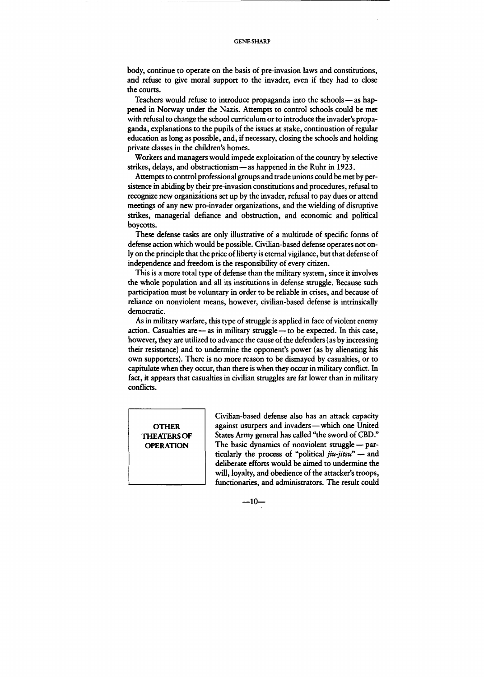#### **GENE SHARP**

body, continue to operate on the basis of pre-invasion laws and constitutions, and refuse to give moral support to the invader, even if they had to close the courts.

Teachers would refuse to introduce propaganda into the schools  $-$  as happened in Norway under the Nazis. Attempts to control schools could be met with refusal to change the school curriculum or to introduce the invader's propaganda, explanations to the pupils of the issues at stake, continuation of regular education as long as possible, and, if necessary, closing the schools and holding private classes in the children's homes.

Workers and managers would impede exploitation of the country by selective strikes, delays, and obstructionism-as happened in the Ruhr in 1923.

Attempts to control professional groups and trade unions could be met by persistence in abiding by their pre-invasion constitutions and procedures, refusal to recognize new organizations set up by the invader, refusal to pay dues or attend meetings of any new pro-invader organizations, and the wielding of disruptive strikes, managerial defiance and obstruction, and economic and political boycotts.

These defense tasks are only illustrative of a multitude of specific forms of defense action which would be possible. Civilian-based defense operates not only on the principle that the price of liberty is eternal vigilance, but that defense of independence and freedom is the responsibility of every citizen.

This is a more total type of defense than the military system, since it involves the whole population and all its institutions in defense struggle. Because such participation must be voluntary in order to be reliable in crises, and because of reliance on nonviolent means, however, civilian-based defense is intrinsically democratic.

As in military warfare, this type of struggle is applied in face of violent enemy action. Casualties are  $-$  as in military struggle  $-$  to be expected. In this case, however, they are utilized to advance the cause of the defenders (as by increasing their resistance) and to undermine the opponent's power (as by alienating his own supporters). There is no more reason to be dismayed by casualties, or to capitulate when they **occur,** than there is when they occur in military conflict. In fact, it appears that casualties in civilian struggles are far lower than in military conflicts.

## **OTHER THEATERS OF OPERATION**

Civilian-based defense also has an attack capacity against usurpers and invaders - which one United States Army general has called "the sword of CBD."<br>States Army general has called "the sword of CBD."<br>The basic dynamics of nonviolent struggle — par-The basic dynamics of nonviolent struggle -- particularly the process of "political  $ju\text{-}itsw$ " -- and deliberate efforts would be aimed to undermine the will, loyalty, and obedience of the attacker's troops, functionaries, and administrators. The result could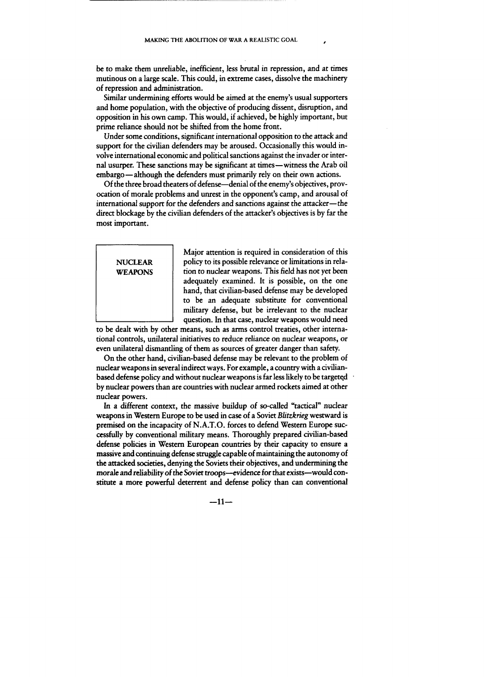be to make them unreliable, inefficient, less brutal in repression, and at times mutinous on a large scale. This could, in extreme cases, dissolve the machinery of repression and administration.

Similar undermining efforts would be aimed at the enemy's usual supporters and home population, with the objective of producing dissent, disruption, and opposition in his own camp. This would, if achieved, be highly important, but prime reliance should not be shifted from the home front.

Under some conditions, significant international opposition to the attack and support for the civilian defenders may be aroused. Occasionally this would involve international economic and political sanctions against the invader or internal usurper. These sanctions may be significant at times-witness the Arab oil embargo- although the defenders must primarily rely on their own actions.

Of the three broad theaters of defense-denial of the enemy's objectives, provocation of morale problems and unrest in the opponent's camp, and arousal of  $intermational support for the defenders and sancions against the attacker—the$ direct blockage by the civilian defenders of the attacker's objectives is by far the most important.

## **NUCLEAR WEAPONS**

Major attention is required in consideration of this policy to its possible relevance or limitations in relation to nuclear weapons. This field has not yet been adequately examined. It is possible, on the one hand, that civilian-based defense may be developed to be an adequate substitute for conventional military defensa, but be irrelevant to the nuclear question. In that case, nuclear weapons would need

to be dealt with by other means, such as arms control treaties, other international controls, unilateral initiatives to reduce reliance on nuclear weapons, or even unilateral dismantling of them as sources of greater danger than safety.

On the other hand, civilian-based defense may be relevant to the problem of nuclear weapons in several indirect ways. For example, a country with a civilianbased defense policy and without nuclear weapons is far less likely to be targeted by nuclear powers than are countries with nuclear armed rockets aimed at other nuclear powers.

In a different context, the massive buildup of so-called "tactical" nuclear weapons in Western Europe to be used in case of a Soviet Blitzkrieg westward is premised on the incapacity of N.A.T.O. forces to defend Western Europe successfully by conventional military means. Thoroughly prepared civilian-based defense policies in Western European countries by their capacity to ensure a massive and continuing defense struggle capable of maintaining the autonomy of the attacked societies, denying the Soviets their objectives, and undermining the morale and reliability of the Soviet troops-evidence for that exists-would constitute a more powerful deterrent and defense policy than can conventional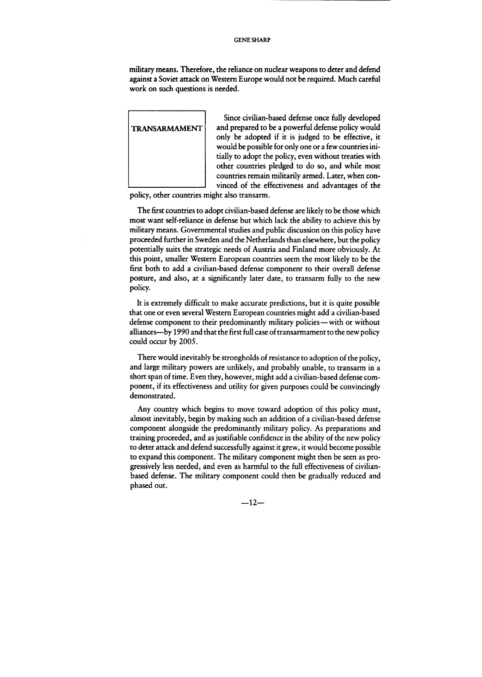military means. Therefore, the reliance on nuclear weapons to deter and defend against a Soviet attack on Western Europe would not be required. Much careful work on such questions is needed.



**TRANSARMAMENT** and prepared to be a powerful defense policy would only be adopted if it is judged to be effective, it would be possible for only one or a few countries initially to adopt the policy, even without treaties with other countries pledged to do so, and while most countries remain militarily armed. Later, when convinced of the effectiveness and advantages of the

policy, other countries might also transarm.

GENE SHARP<br>
TRANSARRMAMENT WERE TRANSARRMAMENT WOOTEND TO SURFACT WERE TRANSARRMAMENT WORK ON SURFACT SINCE CONDINFORT SINCE CONDINFORT SINCE CONDINFORMAMENT SINCE CONDINFORMAMENT SINCE CONDINFORMAMENT (and propared to be The first countries to adopt civilian-based defense are likely to be those which most want self-reliance in defense but which lack the ability to achieve this by military means. Governmental studies and public discussion on this policy have proceeded further in Sweden and the Netherlands than elsewhere, but the policy potentially suits the strategic needs of Austria and Finland more obviously. At this point, smaller Western European countries seem the most likely to be the first both to add a civilian-based defense component to their overall defense posture, and also, at a significantly later date, to transarm fully to the new policy.

It is extremely difficult to make accurate predictions, but it is quite possible that one or even several Western European countries might add a civilian-based defense component to their predominantly military policies-with or without alliances-by 1990 and that the first full case of transarmament to the new policy could occur by *2005.* 

There would inevitably be strongholds of resistance to adoption of the policy, and large military powers are unlikely, and probably unable, to transarm in a short span of time. Even they, however, might add a civilian-based defense component, if its effectiveness and utility for given purposes could be convincingly demonstrated.

Any country which begins to move toward adoption of this policy must, almost inevitably, begin by making such an addition of a civilian-based defense component alongside the predominantly military policy. As preparations and training proceeded, and as justifiable confidence in the ability of the new policy to deter attack and defend successfully against it grew, it would become possible to expand this component. The military component might then be seen as progressively less needed, and even as harmful to the full effectiveness of civilianbased defense. The military component could then be gradually reduced and phased out.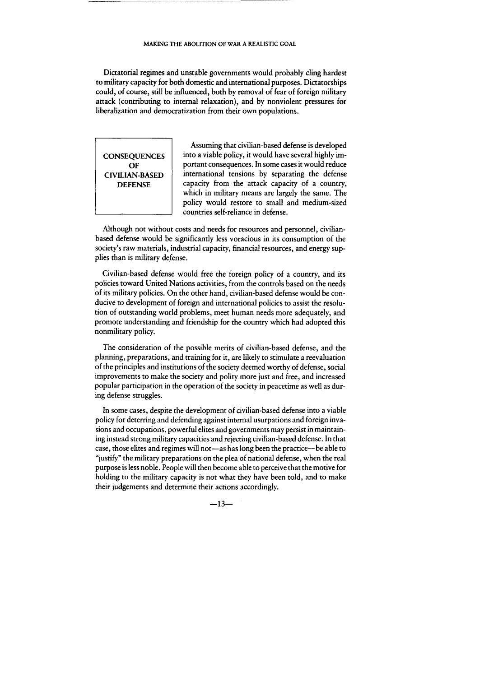Dictatorial regimes and unstable governments would probably cling hardest to military capacity for both domestic and international purposes, Dictatorships could, of course, still be influenced, both by removal of fear of foreign military attack (contributing to internal relaxation), and by nonviolent pressures for liberalization and democratization from their own populations.

**CONSEQUENCES OF CIVILIAN-BASED DEFENSE** 

Assuming that civilian-based defense is developed into a viable policy, it would have several highly important consequences. In some cases it would reduce international tensions by separating the defense capacity from the attack capacity of a country, which in military means are largely the same. The policy would restore to small and medium-sized countries self-reliance in defense.

Although not without costs and needs for resources and personnel, civilianbased defense would be significantly less voracious in its consumption of the society's raw materials, industrial capacity, financial resources, and energy supplies than is military defense.

Civilian-based defense would free the foreign policy of a country, and its policies toward United Nations activities, from the controls based on the needs of its military policies. On the other hand, civilian-based defense would be conducive to development of foreign and international policies to assist the resolution of outstanding world problems, meet human needs more adequately, and promote understanding and friendship for the country which had adopted this nonmilitary policy.

The consideration of the possible merits of civilian-based defense, and the planning, preparations, and training for it, are likely to stimulate a reevaluation of the principles and institutions of the society deemed worthy of defense, social improvements to make the society and polity more just and free, and increased popular participation in the operation of the society in peacetime as well as during defense struggles.

In some cases, despite the development of civilian-based defense into a viable policy for deterring and defending against internal usurpations and foreign invasions and occupations, powerful elites and governments may persist in maintaining instead strong military capacities and rejecting civilian-based defense. In that case, those elites and regimes will not—as has long been the practice—be able to "justify" the military preparations on the plea of national defense, when the real purpose is less noble. People will then become able to perceive that the motive for holding to the military capacity is not what they have been told, and to make their judgements and determine their actions accordingly.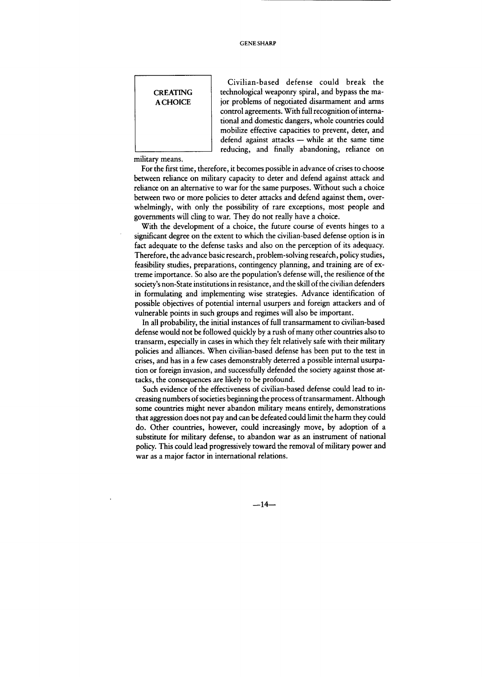## **CREATING A CHOICE**

Civilian-based defense could break the technological weaponry spiral, and bypass the major problems of negotiated disarmament and arms control agreements. With full recognition of international and domestic dangers, whole countries could mobilize effective capacities to prevent, deter, and defend against attacks — while at the same time reducing, and finally abandoning, reliance on

military means.

For the first time, therefore, it becomes possible in advance of crises to choose between reliance on military capacity to deter and defend against attack and reliance on an alternative to war for the same purposes. Without such a choice between two or more policies to deter attacks and defend against them, overwhelmingly, with only the possibility of rare exceptions, most people and governments will cling to war. They do not really have a choice.

With the development of a choice, the future course of events hinges to a significant degree on the extent to which the civilian-based defense option is in fact adequate to the defense tasks and also on the perception of its adequacy. Therefore, the advance basic research, problem-solving research, policy studies, feasibility studies, preparations, contingency planning, and training are of extreme importance. So also are the population's defense will, the resilience of the society's non-State institutions in resistance, and the skill of the civilian defenders in formulating and implementing wise strategies. Advance identification of possible objectives of potential internal usurpers and foreign attackers and of vulnerable points in such groups and regimes will also be important.

In all probability, the initial instances of full transarmament to civilian-based defense would not be followed quickly by a rush of many other countries also to transarm, especially in cases in which they felt relatively safe with their military policies and alliances. When civilian-based defense has been put to the test in crises, and has in a few cases demonstrably deterred a possible internal usurpation or foreign invasion, and successfully defended the society against those attacks, the consequences are likely to be profound.

Such evidence of the effectiveness of civilian-based defense could lead to increasing numbers of societies beginning the process of transarmament. Although some countries might never abandon military means entirely, demonstrations that aggression does not pay and can be defeated could limit the harm they could do. Other countries, however, could increasingly move, by adoption of a substitute for military defense, to abandon war as an instrument of national policy. This could lead progressively toward the removal of military power and war as a major factor in international relations.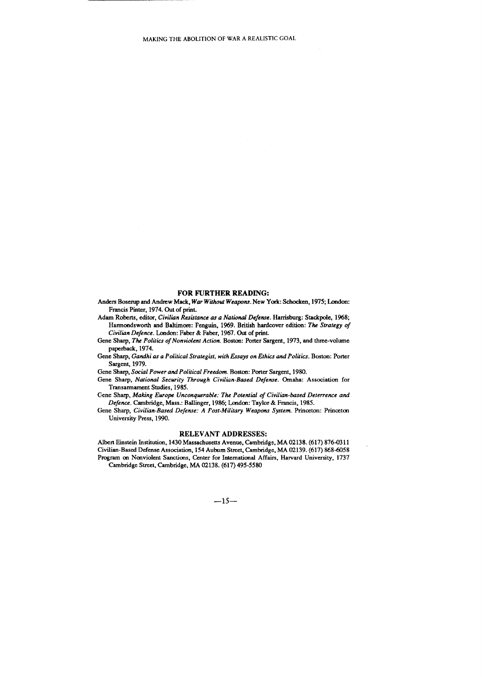#### **FOR FURTHER READING:**

- Anders Boserup and Andrew Mack, War Without Weapons. New York: Schocken, 1975; London: **Francis** Pinter. **1974.** Out of print.
- Adam Roberts, editor, *Civilian Resistance as a National Defense.* Hamsburg: Stackpole, **1968;**  Harmondsworth and Baltimore: Fenguin. **1969.** British hardcover edition: *The Strategy of Civilian Defence.* **London:** Faber & Faber, **1967.** Out of print.
- Gene Sharp. *The Politics of Nonviolent Action.* Boston: Porter Sargent, **1973,** and three-volume paperback, **1974.**
- Gene Sharp, *Gandhi as a Political Strategist, with Essays on Ethics* and *Politics.* Boston: Porter Sargent, **1979.**

Gene Sharp. *Social Power and Political Freedom.* Boston: Porter Sargent, **1980.** 

- Gene Sharp, *National Security Through Civilian-Based Defense.* Omaha: Association for Transarmament Studies, **1985.**
- Gene Sharp, *Making Ewope Unconquerable: The Potential of Civilian-based Deterrence and Defence.* Cambridge. Mass.: Rallinger, **1986,** London: Taylor & Francis. **1985.**
- Gene Sharp, *Civilian-Based Defense:* A *Fosf-Military Weapons System.* Princetor:: Princeton University Press, **1990.**

#### **RELEVANT ADDRESSES:**

**Albert** Einstein Institution, **1430** Massachusetts Avenue, Cambridge. MA **02138. (617) 876-031 1**  Civilian-Based Defense Association, **154** Aubum Street, Cambridge, MA **02139. (617) 868-6058**  Program **on** Nonviolent Sanctions, Center for International Affairs, Harvard University, **1737** 

Cambridge Street, Cambridge, MA **02138. (617) 495-5580**